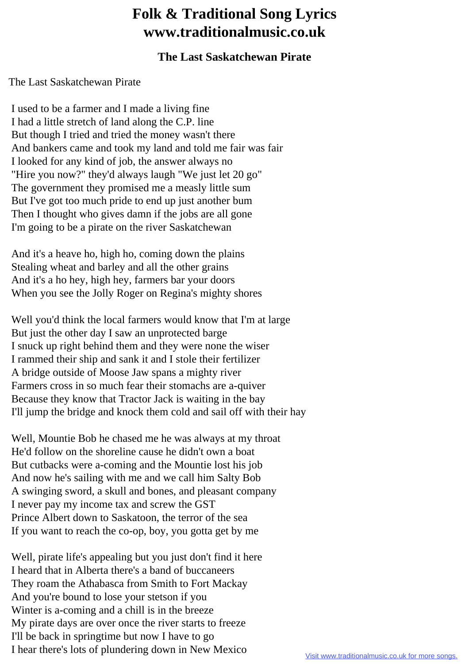## **Folk & Traditional Song Lyrics www.traditionalmusic.co.uk**

## **The Last Saskatchewan Pirate**

The Last Saskatchewan Pirate

 I used to be a farmer and I made a living fine I had a little stretch of land along the C.P. line But though I tried and tried the money wasn't there And bankers came and took my land and told me fair was fair I looked for any kind of job, the answer always no "Hire you now?" they'd always laugh "We just let 20 go" The government they promised me a measly little sum But I've got too much pride to end up just another bum Then I thought who gives damn if the jobs are all gone I'm going to be a pirate on the river Saskatchewan

 And it's a heave ho, high ho, coming down the plains Stealing wheat and barley and all the other grains And it's a ho hey, high hey, farmers bar your doors When you see the Jolly Roger on Regina's mighty shores

 Well you'd think the local farmers would know that I'm at large But just the other day I saw an unprotected barge I snuck up right behind them and they were none the wiser I rammed their ship and sank it and I stole their fertilizer A bridge outside of Moose Jaw spans a mighty river Farmers cross in so much fear their stomachs are a-quiver Because they know that Tractor Jack is waiting in the bay I'll jump the bridge and knock them cold and sail off with their hay

 Well, Mountie Bob he chased me he was always at my throat He'd follow on the shoreline cause he didn't own a boat But cutbacks were a-coming and the Mountie lost his job And now he's sailing with me and we call him Salty Bob A swinging sword, a skull and bones, and pleasant company I never pay my income tax and screw the GST Prince Albert down to Saskatoon, the terror of the sea If you want to reach the co-op, boy, you gotta get by me

Well, pirate life's appealing but you just don't find it here I heard that in Alberta there's a band of buccaneers They roam the Athabasca from Smith to Fort Mackay And you're bound to lose your stetson if you Winter is a-coming and a chill is in the breeze My pirate days are over once the river starts to freeze I'll be back in springtime but now I have to go I hear there's lots of plundering down in New Mexico